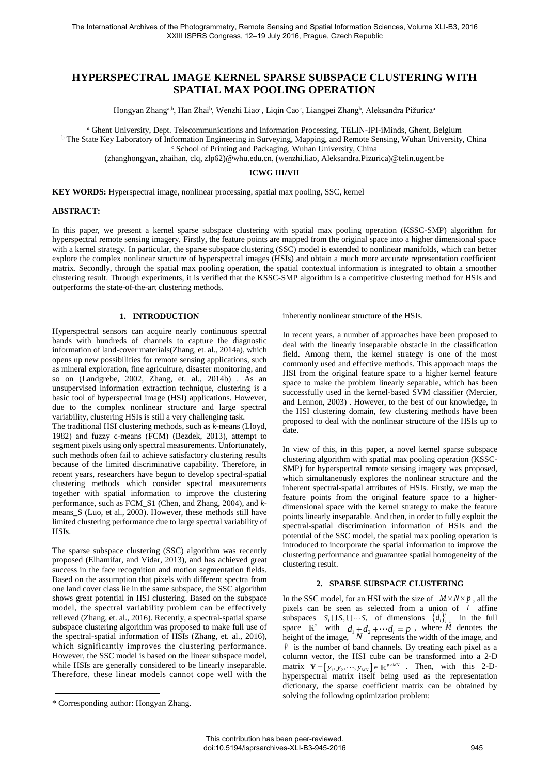# **HYPERSPECTRAL IMAGE KERNEL SPARSE SUBSPACE CLUSTERING WITH SPATIAL MAX POOLING OPERATION**

Hongyan Zhang<sup>a,b</sup>, Han Zhai<sup>b</sup>, Wenzhi Liaoª, Liqin Cao<sup>c</sup>, Liangpei Zhang<sup>b</sup>, Aleksandra Pižuricaª

a Ghent University, Dept. Telecommunications and Information Processing, TELIN-IPI-iMinds, Ghent, Belgium <sup>b</sup> The State Key Laboratory of Information Engineering in Surveying, Mapping, and Remote Sensing, Wuhan University, China

c School of Printing and Packaging, Wuhan University, China

[\(zhanghongyan, zhaihan, clq, zlp62\)@whu.edu.cn,](mailto:zhanghongyan,%20zhaihan,%20clq,%20zlp62@whu.edu.cn) (wenzhi.liao, Aleksandra.Pizurica)@telin.ugent.be

#### **ICWG III/VII**

**KEY WORDS:** Hyperspectral image, nonlinear processing, spatial max pooling, SSC, kernel

#### **ABSTRACT:**

In this paper, we present a kernel sparse subspace clustering with spatial max pooling operation (KSSC-SMP) algorithm for hyperspectral remote sensing imagery. Firstly, the feature points are mapped from the original space into a higher dimensional space with a kernel strategy. In particular, the sparse subspace clustering (SSC) model is extended to nonlinear manifolds, which can better explore the complex nonlinear structure of hyperspectral images (HSIs) and obtain a much more accurate representation coefficient matrix. Secondly, through the spatial max pooling operation, the spatial contextual information is integrated to obtain a smoother clustering result. Through experiments, it is verified that the KSSC-SMP algorithm is a competitive clustering method for HSIs and outperforms the state-of-the-art clustering methods.

## **1. INTRODUCTION**

Hyperspectral sensors can acquire nearly continuous spectral bands with hundreds of channels to capture the diagnostic information of land-cover materials(Zhang, et. al., 2014a), which opens up new possibilities for remote sensing applications, such as mineral exploration, fine agriculture, disaster monitoring, and so on (Landgrebe, 2002, Zhang, et. al., 2014b) . As an unsupervised information extraction technique, clustering is a basic tool of hyperspectral image (HSI) applications. However, due to the complex nonlinear structure and large spectral variability, clustering HSIs is still a very challenging task.

The traditional HSI clustering methods, such as *k*-means (Lloyd, 1982) and fuzzy c-means (FCM) (Bezdek, 2013), attempt to segment pixels using only spectral measurements. Unfortunately, such methods often fail to achieve satisfactory clustering results because of the limited discriminative capability. Therefore, in recent years, researchers have begun to develop spectral-spatial clustering methods which consider spectral measurements together with spatial information to improve the clustering performance, such as FCM\_S1 (Chen, and Zhang, 2004), and *k*means\_S (Luo, et al., 2003). However, these methods still have limited clustering performance due to large spectral variability of HSIs.

The sparse subspace clustering (SSC) algorithm was recently proposed (Elhamifar, and Vidar, 2013), and has achieved great success in the face recognition and motion segmentation fields. Based on the assumption that pixels with different spectra from one land cover class lie in the same subspace, the SSC algorithm shows great potential in HSI clustering. Based on the subspace model, the spectral variability problem can be effectively relieved (Zhang, et. al., 2016). Recently, a spectral-spatial sparse subspace clustering algorithm was proposed to make full use of the spectral-spatial information of HSIs (Zhang, et. al., 2016), which significantly improves the clustering performance. However, the SSC model is based on the linear subspace model, while HSIs are generally considered to be linearly inseparable. Therefore, these linear models cannot cope well with the

inherently nonlinear structure of the HSIs.

In recent years, a number of approaches have been proposed to deal with the linearly inseparable obstacle in the classification field. Among them, the kernel strategy is one of the most commonly used and effective methods. This approach maps the HSI from the original feature space to a higher kernel feature space to make the problem linearly separable, which has been successfully used in the kernel-based SVM classifier (Mercier, and Lennon, 2003) . However, to the best of our knowledge, in the HSI clustering domain, few clustering methods have been proposed to deal with the nonlinear structure of the HSIs up to date.

In view of this, in this paper, a novel kernel sparse subspace clustering algorithm with spatial max pooling operation (KSSC-SMP) for hyperspectral remote sensing imagery was proposed, which simultaneously explores the nonlinear structure and the inherent spectral-spatial attributes of HSIs. Firstly, we map the feature points from the original feature space to a higherdimensional space with the kernel strategy to make the feature points linearly inseparable. And then, in order to fully exploit the spectral-spatial discrimination information of HSIs and the potential of the SSC model, the spatial max pooling operation is introduced to incorporate the spatial information to improve the clustering performance and guarantee spatial homogeneity of the clustering result.

#### **2. SPARSE SUBSPACE CLUSTERING**

In the SSC model, for an HSI with the size of  $M \times N \times p$ , all the pixels can be seen as selected from a union of *l* affine subspaces  $S_1 \cup S_2 \cup \cdots S_i$  of dimensions  $\{d_i\}_{i=1}^l$  in the full space  $\mathbb{R}^p$  with  $d_1 + d_2 + \cdots + d_l = p$ , where *M* denotes the height of the image,  $N$  represents the width of the image, and *p* is the number of band channels. By treating each pixel as a column vector, the HSI cube can be transformed into a 2-D matrix  $\mathbf{Y} = [y_1, y_2, \dots, y_{MN}] \in \mathbb{R}^{p \times MN}$  . Then, with this 2-Dhyperspectral matrix itself being used as the representation dictionary, the sparse coefficient matrix can be obtained by solving the following optimization problem:

<sup>\*</sup> Corresponding author: Hongyan Zhang.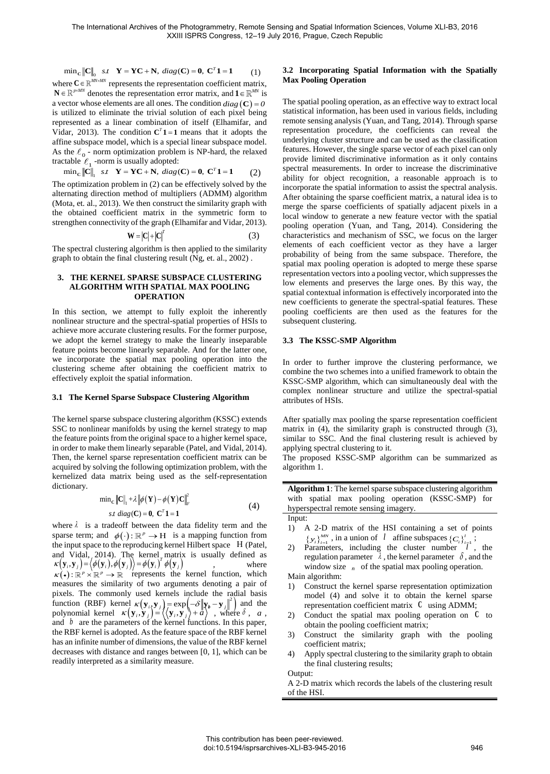$\min_{\mathbf{C}} \|\mathbf{C}\|_{0}$  s.t  $\mathbf{Y} = \mathbf{Y}\mathbf{C} + \mathbf{N}$ ,  $diag(\mathbf{C}) = \mathbf{0}$ ,  $\mathbf{C}^T \mathbf{1} = \mathbf{1}$ (1) where  $C \in \mathbb{R}^{MN \times MN}$  represents the representation coefficient matrix,  $N \in \mathbb{R}^{p \times MN}$  denotes the representation error matrix, and  $1 \in \mathbb{R}^{MN}$  is a vector whose elements are all ones. The condition  $diag(\mathbf{C}) = 0$ is utilized to eliminate the trivial solution of each pixel being represented as a linear combination of itself (Elhamifar, and Vidar, 2013). The condition  $C^{T}$ **1** = **1** means that it adopts the affine subspace model, which is a special linear subspace model. As the  $\ell_0$  - norm optimization problem is NP-hard, the relaxed tractable  $\ell_1$  -norm is usually adopted:

 $\min_{\mathbf{C}} \|\mathbf{C}\|_{1}$   $s.t$   $\mathbf{Y} = \mathbf{Y}\mathbf{C} + \mathbf{N}$ ,  $diag(\mathbf{C}) = \mathbf{0}$ ,  $\mathbf{C}^{T}\mathbf{1} = \mathbf{1}$ (2)

The optimization problem in (2) can be effectively solved by the alternating direction method of multipliers (ADMM) algorithm (Mota, et. al., 2013). We then construct the similarity graph with the obtained coefficient matrix in the symmetric form to strengthen connectivity of the graph (Elhamifar and Vidar, 2013).

$$
\mathbf{W} = \left| \mathbf{C} \right| + \left| \mathbf{C} \right|^r \tag{3}
$$

The spectral clustering algorithm is then applied to the similarity graph to obtain the final clustering result (Ng, et. al., 2002) .

## **3. THE KERNEL SPARSE SUBSPACE CLUSTERING ALGORITHM WITH SPATIAL MAX POOLING OPERATION**

In this section, we attempt to fully exploit the inherently nonlinear structure and the spectral-spatial properties of HSIs to achieve more accurate clustering results. For the former purpose, we adopt the kernel strategy to make the linearly inseparable feature points become linearly separable. And for the latter one, we incorporate the spatial max pooling operation into the clustering scheme after obtaining the coefficient matrix to effectively exploit the spatial information.

## **3.1 The Kernel Sparse Subspace Clustering Algorithm**

The kernel sparse subspace clustering algorithm (KSSC) extends SSC to nonlinear manifolds by using the kernel strategy to map the feature points from the original space to a higher kernel space, in order to make them linearly separable (Patel, and Vidal, 2014). Then, the kernel sparse representation coefficient matrix can be acquired by solving the following optimization problem, with the kernelized data matrix being used as the self-representation dictionary.

$$
\min_{\mathbf{C}} \|\mathbf{C}\|_{1} + \lambda \|\phi(\mathbf{Y}) - \phi(\mathbf{Y})\mathbf{C}\|_{F}^{2}
$$
  
*st diag*(**C**) = **0**, **C**<sup>T</sup> **1** = **1** (4)

where  $\lambda$  is a tradeoff between the data fidelity term and the sparse term; and  $\phi(\cdot): \mathbb{R}^p \to H$  is a mapping function from the input space to the reproducing kernel Hilbert space (Patel, and Vidal, 2014). The kernel matrix is usually defined as and Vidal, 2014). The kernel matrix is u<br>  $\kappa(\mathbf{y}_i, \mathbf{y}_j) = \langle \phi(\mathbf{y}_i), \phi(\mathbf{y}_j) \rangle = \phi(\mathbf{y}_i)^T \phi(\mathbf{y}_j)$ , where  $\kappa(\cdot): \mathbb{R}^p \times \mathbb{R}^p \to \mathbb{R}$  represents the kernel function, which measures the similarity of two arguments denoting a pair of pixels. The commonly used kernels include the radial basis function (RBF) kernel  $\kappa(\mathbf{y}_i, \mathbf{y}_j) = \exp\left(-\delta \left\|\mathbf{y}_i - \mathbf{y}_j\right\|^2\right)$  and the polynomial kernel  $\kappa(y_i, y_j) = \langle \langle y_i, y_j \rangle + a \rangle$ , where  $\delta$ , *a*, and  $\bar{b}$  are the parameters of the kernel functions. In this paper, the RBF kernel is adopted. As the feature space of the RBF kernel has an infinite number of dimensions, the value of the RBF kernel decreases with distance and ranges between [0, 1], which can be readily interpreted as a similarity measure.

## **3.2 Incorporating Spatial Information with the Spatially Max Pooling Operation**

The spatial pooling operation, as an effective way to extract local statistical information, has been used in various fields, including remote sensing analysis (Yuan, and Tang, 2014). Through sparse representation procedure, the coefficients can reveal the underlying cluster structure and can be used as the classification features. However, the single sparse vector of each pixel can only provide limited discriminative information as it only contains spectral measurements. In order to increase the discriminative ability for object recognition, a reasonable approach is to incorporate the spatial information to assist the spectral analysis. After obtaining the sparse coefficient matrix, a natural idea is to merge the sparse coefficients of spatially adjacent pixels in a local window to generate a new feature vector with the spatial pooling operation (Yuan, and Tang, 2014). Considering the characteristics and mechanism of SSC, we focus on the larger elements of each coefficient vector as they have a larger probability of being from the same subspace. Therefore, the spatial max pooling operation is adopted to merge these sparse representation vectors into a pooling vector, which suppresses the low elements and preserves the large ones. By this way, the spatial contextual information is effectively incorporated into the new coefficients to generate the spectral-spatial features. These pooling coefficients are then used as the features for the subsequent clustering.

## **3.3 The KSSC-SMP Algorithm**

In order to further improve the clustering performance, we combine the two schemes into a unified framework to obtain the KSSC-SMP algorithm, which can simultaneously deal with the complex nonlinear structure and utilize the spectral-spatial attributes of HSIs.

After spatially max pooling the sparse representation coefficient matrix in (4), the similarity graph is constructed through (3), similar to SSC. And the final clustering result is achieved by applying spectral clustering to it.

The proposed KSSC-SMP algorithm can be summarized as algorithm 1.

**Algorithm 1**: The kernel sparse subspace clustering algorithm with spatial max pooling operation (KSSC-SMP) for hyperspectral remote sensing imagery. Input:

- 1) A 2-D matrix of the HSI containing a set of points  $\{y_i\}_{i=1}^{MN}$ , in a union of *l* affine subspaces  $\{C_i\}_{i=1}^{l}$ ;
- 2) Parameters, including the cluster number  $l^{\dagger}$ , the regulation parameter  $\lambda$ , the kernel parameter  $\delta$ , and the window size  $n$  of the spatial max pooling operation.

Main algorithm:

- 1) Construct the kernel sparse representation optimization model (4) and solve it to obtain the kernel sparse representation coefficient matrix **C** using ADMM;
- 2) Conduct the spatial max pooling operation on **C** to obtain the pooling coefficient matrix;
- 3) Construct the similarity graph with the pooling coefficient matrix;
- 4) Apply spectral clustering to the similarity graph to obtain the final clustering results;

Output:

A 2-D matrix which records the labels of the clustering result of the HSI.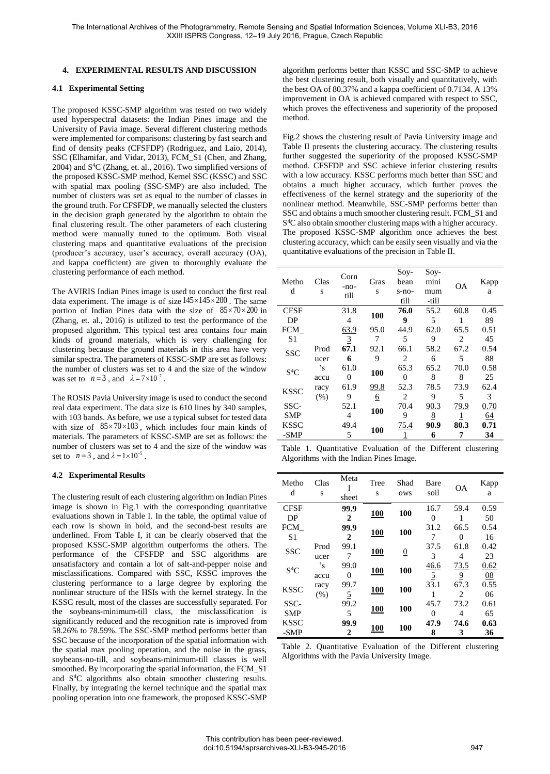## **4. EXPERIMENTAL RESULTS AND DISCUSSION**

## **4.1 Experimental Setting**

The proposed KSSC-SMP algorithm was tested on two widely used hyperspectral datasets: the Indian Pines image and the University of Pavia image. Several different clustering methods were implemented for comparisons: clustering by fast search and find of density peaks (CFSFDP) (Rodriguez, and Laio, 2014), SSC (Elhamifar, and Vidar, 2013), FCM\_S1 (Chen, and Zhang, 2004) and S<sup>4</sup>C (Zhang, et. al., 2016). Two simplified versions of the proposed KSSC-SMP method, Kernel SSC (KSSC) and SSC with spatial max pooling (SSC-SMP) are also included. The number of clusters was set as equal to the number of classes in the ground truth. For CFSFDP, we manually selected the clusters in the decision graph generated by the algorithm to obtain the final clustering result. The other parameters of each clustering method were manually tuned to the optimum. Both visual clustering maps and quantitative evaluations of the precision (producer's accuracy, user's accuracy, overall accuracy (OA), and kappa coefficient) are given to thoroughly evaluate the clustering performance of each method.

The AVIRIS Indian Pines image is used to conduct the first real data experiment. The image is of size  $145 \times 145 \times 200$ . The same portion of Indian Pines data with the size of  $85 \times 70 \times 200$  in (Zhang, et. al., 2016) is utilized to test the performance of the proposed algorithm. This typical test area contains four main kinds of ground materials, which is very challenging for clustering because the ground materials in this area have very similar spectra. The parameters of KSSC-SMP are set as follows: the number of clusters was set to 4 and the size of the window was set to  $n=3$ , and  $\lambda = 7 \times 10^{-7}$ .

The ROSIS Pavia University image is used to conduct the second real data experiment. The data size is 610 lines by 340 samples, with 103 bands. As before, we use a typical subset for tested data with size of  $85 \times 70 \times 103$ , which includes four main kinds of materials. The parameters of KSSC-SMP are set as follows: the number of clusters was set to 4 and the size of the window was set to  $n=3$ , and  $\lambda = 1 \times 10^{-5}$ .

## **4.2 Experimental Results**

The clustering result of each clustering algorithm on Indian Pines image is shown in Fig.1 with the corresponding quantitative evaluations shown in Table I. In the table, the optimal value of each row is shown in bold, and the second-best results are underlined. From Table I, it can be clearly observed that the proposed KSSC-SMP algorithm outperforms the others. The performance of the CFSFDP and SSC algorithms are unsatisfactory and contain a lot of salt-and-pepper noise and misclassifications. Compared with SSC, KSSC improves the clustering performance to a large degree by exploring the nonlinear structure of the HSIs with the kernel strategy. In the KSSC result, most of the classes are successfully separated. For the soybeans-minimum-till class, the misclassification is significantly reduced and the recognition rate is improved from 58.26% to 78.59%. The SSC-SMP method performs better than SSC because of the incorporation of the spatial information with the spatial max pooling operation, and the noise in the grass, soybeans-no-till, and soybeans-minimum-till classes is well smoothed. By incorporating the spatial information, the FCM\_S1 and S<sup>4</sup>C algorithms also obtain smoother clustering results. Finally, by integrating the kernel technique and the spatial max pooling operation into one framework, the proposed KSSC-SMP

algorithm performs better than KSSC and SSC-SMP to achieve the best clustering result, both visually and quantitatively, with the best OA of 80.37% and a kappa coefficient of 0.7134. A 13% improvement in OA is achieved compared with respect to SSC, which proves the effectiveness and superiority of the proposed method.

Fig.2 shows the clustering result of Pavia University image and Table II presents the clustering accuracy. The clustering results further suggested the superiority of the proposed KSSC-SMP method. CFSFDP and SSC achieve inferior clustering results with a low accuracy. KSSC performs much better than SSC and obtains a much higher accuracy, which further proves the effectiveness of the kernel strategy and the superiority of the nonlinear method. Meanwhile, SSC-SMP performs better than SSC and obtains a much smoother clustering result. FCM\_S1 and S <sup>4</sup>C also obtain smoother clustering maps with a higher accuracy. The proposed KSSC-SMP algorithm once achieves the best clustering accuracy, which can be easily seen visually and via the quantitative evaluations of the precision in Table II.

| Metho<br>d       | Clas<br>S | Corn<br>$-no-$<br>till | Gras<br>S | $Sov-$<br>bean<br>s-no-<br>till | $Sov-$<br>mini<br>mum<br>-till | OΑ   | Kapp<br>a |
|------------------|-----------|------------------------|-----------|---------------------------------|--------------------------------|------|-----------|
| CFSF             |           | 31.8                   | 100       | 76.0                            | 55.2                           | 60.8 | 0.45      |
| DP               |           | 4                      |           | 9                               | 5                              |      | 89        |
| FCM              |           | 63.9                   | 95.0      | 44.9                            | 62.0                           | 65.5 | 0.51      |
| S <sub>1</sub>   |           | $\overline{3}$         | 7         | 5                               | 9                              | 2    | 45        |
| <b>SSC</b>       | Prod      | 67.1                   | 92.1      | 66.1                            | 58.2                           | 67.2 | 0.54      |
|                  | ucer      | 6                      | 9         | 2                               | 6                              | 5    | 88        |
| S <sup>4</sup> C | 's        | 61.0                   | 100       | 65.3                            | 65.2                           | 70.0 | 0.58      |
|                  | accu      | 0                      |           | $\theta$                        | 8                              | 8    | 25        |
| <b>KSSC</b>      | racy      | 61.9                   | 99.8      | 52.3                            | 78.5                           | 73.9 | 62.4      |
|                  | (% )      | 9                      | <u>6</u>  | 2                               | 9                              | 5    | 3         |
| SSC-             |           | 52.1                   | 100       | 70.4                            | 90.3                           | 79.9 | 0.70      |
| <b>SMP</b>       |           | 4                      |           | 9                               | $8\overline{6}$                |      | 64        |
| <b>KSSC</b>      |           | 49.4                   | 100       | <u>75.4</u>                     | 90.9                           | 80.3 | 0.71      |
| -SMP             |           | 5                      |           |                                 | 6                              | 7    | 34        |

|                                         |  | Table 1. Quantitative Evaluation of the Different clustering |  |  |  |  |  |  |
|-----------------------------------------|--|--------------------------------------------------------------|--|--|--|--|--|--|
| Algorithms with the Indian Pines Image. |  |                                                              |  |  |  |  |  |  |

| Metho<br>d        | Clas<br>S | Meta<br>sheet | Tree<br>S  | Shad<br>ows    | Bare<br>soil   | OΑ             | Kapp<br>a  |
|-------------------|-----------|---------------|------------|----------------|----------------|----------------|------------|
| <b>CFSF</b><br>DР |           | 99.9<br>2     | <b>100</b> | 100            | 16.7<br>0      | 59.4           | 0.59<br>50 |
| FCM               |           | 99.9          | <b>100</b> | 100            | 31.2           | 66.5           | 0.54       |
| S1                |           | 2             |            |                | 7              | $\Omega$       | 16         |
| <b>SSC</b>        | Prod      | 99.1          | <b>100</b> | $\overline{0}$ | 37.5           | 61.8           | 0.42       |
|                   | ucer      | 7             |            |                | 3              | 4              | 23         |
| $S^4C$            | 's        | 99.0          | <b>100</b> | 100            | 46.6           | 73.5           | 0.62       |
|                   | accu      | 0             |            |                | $\overline{5}$ | $\overline{9}$ | 08         |
| <b>KSSC</b>       | racy      | <u>99.7</u>   | <b>100</b> | 100            | 33.1           | 67.3           | 0.55       |
|                   | (% )      | 5             |            |                |                | 2              | 06         |
| SSC-              |           | 99.2          |            |                | 45.7           | 73.2           | 0.61       |
| <b>SMP</b>        |           | 5             | <b>100</b> | 100            | 0              | 4              | 65         |
| <b>KSSC</b>       |           | 99.9          |            | 100            | 47.9           | 74.6           | 0.63       |
| -SMP              |           | 2             | <b>100</b> |                | 8              | 3              | 36         |

Table 2. Quantitative Evaluation of the Different clustering Algorithms with the Pavia University Image.